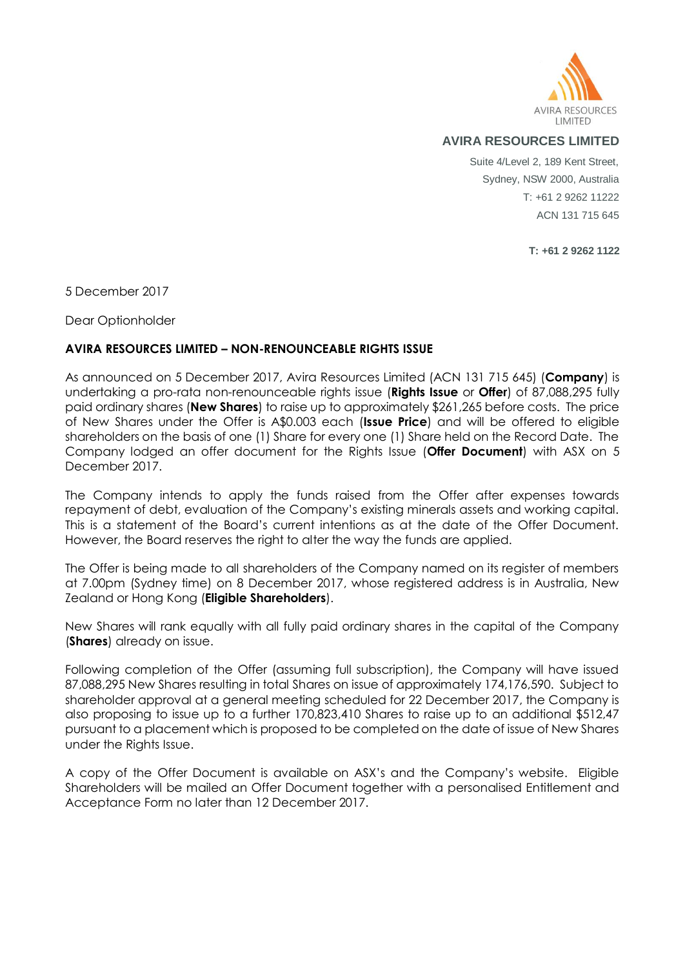

## **AVIRA RESOURCES LIMITED**

Suite 4/Level 2, 189 Kent Street, Sydney, NSW 2000, Australia T: +61 2 9262 11222 ACN 131 715 645

**T: +61 2 9262 1122**

5 December 2017

Dear Optionholder

## **AVIRA RESOURCES LIMITED – NON-RENOUNCEABLE RIGHTS ISSUE**

As announced on 5 December 2017, Avira Resources Limited (ACN 131 715 645) (**Company**) is undertaking a pro-rata non-renounceable rights issue (**Rights Issue** or **Offer**) of 87,088,295 fully paid ordinary shares (**New Shares**) to raise up to approximately \$261,265 before costs. The price of New Shares under the Offer is A\$0.003 each (**Issue Price**) and will be offered to eligible shareholders on the basis of one (1) Share for every one (1) Share held on the Record Date. The Company lodged an offer document for the Rights Issue (**Offer Document**) with ASX on 5 December 2017.

The Company intends to apply the funds raised from the Offer after expenses towards repayment of debt, evaluation of the Company's existing minerals assets and working capital. This is a statement of the Board's current intentions as at the date of the Offer Document. However, the Board reserves the right to alter the way the funds are applied.

The Offer is being made to all shareholders of the Company named on its register of members at 7.00pm (Sydney time) on 8 December 2017, whose registered address is in Australia, New Zealand or Hong Kong (**Eligible Shareholders**).

New Shares will rank equally with all fully paid ordinary shares in the capital of the Company (**Shares**) already on issue.

Following completion of the Offer (assuming full subscription), the Company will have issued 87,088,295 New Shares resulting in total Shares on issue of approximately 174,176,590. Subject to shareholder approval at a general meeting scheduled for 22 December 2017, the Company is also proposing to issue up to a further 170,823,410 Shares to raise up to an additional \$512,47 pursuant to a placement which is proposed to be completed on the date of issue of New Shares under the Rights Issue.

A copy of the Offer Document is available on ASX's and the Company's website. Eligible Shareholders will be mailed an Offer Document together with a personalised Entitlement and Acceptance Form no later than 12 December 2017.